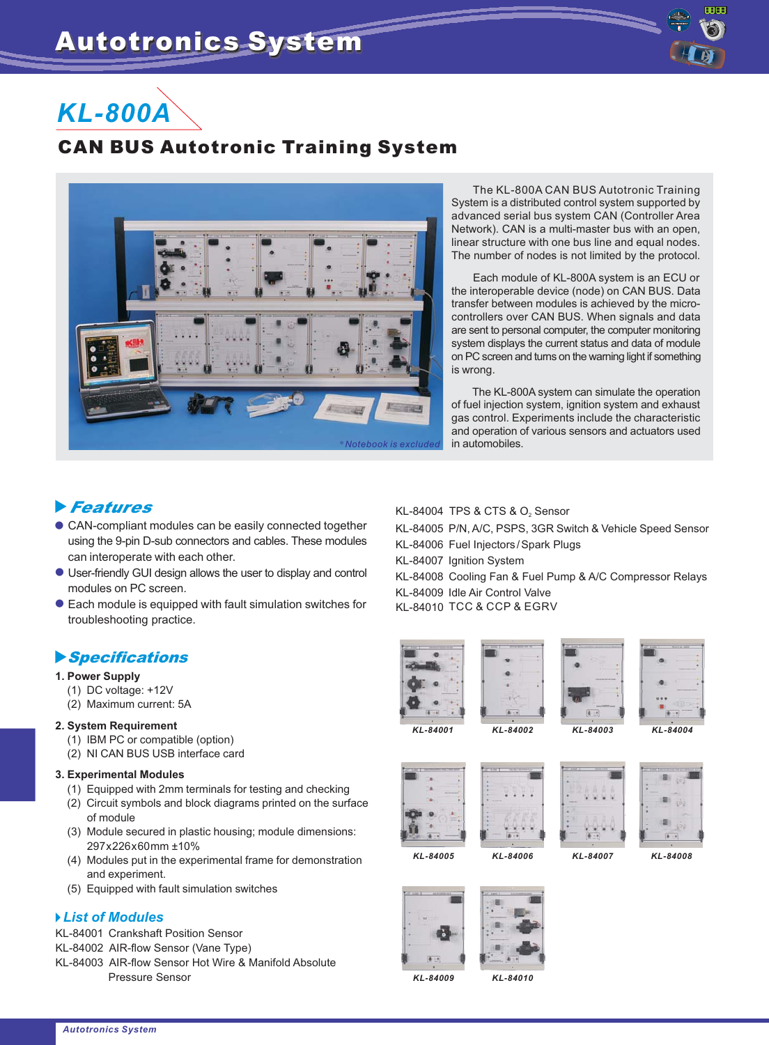

# *KL-800A*

# can business and canning system



The KL-800A CAN BUS Autotronic Training System is a distributed control system supported by advanced serial bus system CAN (Controller Area Network). CAN is a multi-master bus with an open, linear structure with one bus line and equal nodes. The number of nodes is not limited by the protocol.

Each module of KL-800A system is an ECU or the interoperable device (node) on CAN BUS. Data transfer between modules is achieved by the microcontrollers over CAN BUS. When signals and data are sent to personal computer, the computer monitoring system displays the current status and data of module on PC screen and turns on the warning light if something is wrong.

The KL-800A system can simulate the operation of fuel injection system, ignition system and exhaust gas control. Experiments include the characteristic and operation of various sensors and actuators used in automobiles.

## -Features

- CAN-compliant modules can be easily connected together using the 9-pin D-sub connectors and cables. These modules can interoperate with each other.
- User-friendly GUI design allows the user to display and control modules on PC screen.
- Each module is equipped with fault simulation switches for troubleshooting practice.

### -Specifications

#### **1. Power Supply**

- (1) DC voltage: +12V
- (2) Maximum current: 5A

#### **2. System Requirement**

- (1) IBM PC or compatible (option)
- (2) NI CAN BUS USB interface card

#### **3. Experimental Modules**

- (1) Equipped with 2mm terminals for testing and checking
- (2) Circuit symbols and block diagrams printed on the surface of module
- (3) Module secured in plastic housing; module dimensions: 297x226x60mm ±10%
- (4) Modules put in the experimental frame for demonstration and experiment.
- (5) Equipped with fault simulation switches

#### *List of Modules*

KL-84001 Crankshaft Position Sensor

- KL-84002 AIR-flow Sensor (Vane Type)
- Pressure Sensor KL-84003 AIR-flow Sensor Hot Wire & Manifold Absolute

KL-84004  $\,$  TPS & CTS & O $_{2}$  Sensor

- KL-84005 P/N, A/C, PSPS, 3GR Switch & Vehicle Speed Sensor
- KL-84006 Fuel Injectors/Spark Plugs
- KL-84007 Ignition System
- KL-84008 Cooling Fan & Fuel Pump & A/C Compressor Relays KL-84009 Idle Air Control Valve
- KL-84010 TCC & CCP & EGRV









*KL-84001 KL-84002 KL-84003 KL-84004*





*KL-84005 KL-84006 KL-84007 KL-84008*





*KL-84009 KL-84010*